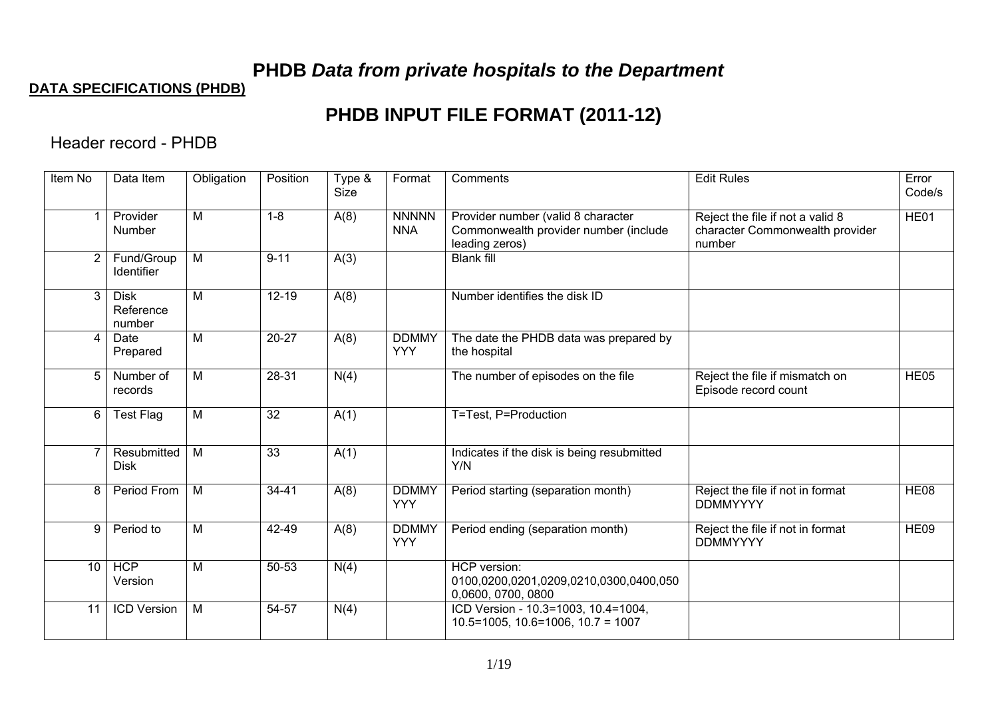# **PHDB** *Data from private hospitals to the Department*

### **DATA SPECIFICATIONS (PHDB)**

# **PHDB INPUT FILE FORMAT (2011-12)**

Header record - PHDB

| Item No         | Data Item                          | Obligation     | Position        | Type &<br>Size | Format                     | Comments                                                                                      | <b>Edit Rules</b>                                                             | Error<br>Code/s |
|-----------------|------------------------------------|----------------|-----------------|----------------|----------------------------|-----------------------------------------------------------------------------------------------|-------------------------------------------------------------------------------|-----------------|
| 1               | Provider<br>Number                 | M              | $1 - 8$         | A(8)           | <b>NNNNN</b><br><b>NNA</b> | Provider number (valid 8 character<br>Commonwealth provider number (include<br>leading zeros) | Reject the file if not a valid 8<br>character Commonwealth provider<br>number | HE01            |
| $\overline{2}$  | Fund/Group<br><b>Identifier</b>    | M              | $9 - 11$        | A(3)           |                            | <b>Blank fill</b>                                                                             |                                                                               |                 |
| 3               | <b>Disk</b><br>Reference<br>number | M              | $12 - 19$       | A(8)           |                            | Number identifies the disk ID                                                                 |                                                                               |                 |
| $\overline{4}$  | Date<br>Prepared                   | M              | $20 - 27$       | A(8)           | <b>DDMMY</b><br><b>YYY</b> | The date the PHDB data was prepared by<br>the hospital                                        |                                                                               |                 |
| 5               | Number of<br>records               | M              | 28-31           | N(4)           |                            | The number of episodes on the file                                                            | Reject the file if mismatch on<br>Episode record count                        | HE05            |
| 6               | <b>Test Flag</b>                   | $\overline{M}$ | $\overline{32}$ | A(1)           |                            | T=Test, P=Production                                                                          |                                                                               |                 |
| $\overline{7}$  | <b>Resubmitted</b><br><b>Disk</b>  | $\overline{M}$ | $\overline{33}$ | A(1)           |                            | Indicates if the disk is being resubmitted<br>Y/N                                             |                                                                               |                 |
| 8               | Period From                        | M              | $34 - 41$       | A(8)           | <b>DDMMY</b><br><b>YYY</b> | Period starting (separation month)                                                            | Reject the file if not in format<br><b>DDMMYYYY</b>                           | <b>HE08</b>     |
| 9               | Period to                          | M              | 42-49           | A(8)           | <b>DDMMY</b><br><b>YYY</b> | Period ending (separation month)                                                              | Reject the file if not in format<br><b>DDMMYYYY</b>                           | <b>HE09</b>     |
| 10 <sup>°</sup> | <b>HCP</b><br>Version              | M              | 50-53           | N(4)           |                            | HCP version:<br>0100,0200,0201,0209,0210,0300,0400,050<br>0,0600, 0700, 0800                  |                                                                               |                 |
| 11              | <b>ICD Version</b>                 | M              | 54-57           | N(4)           |                            | ICD Version - 10.3=1003, 10.4=1004,<br>$10.5 = 1005$ , $10.6 = 1006$ , $10.7 = 1007$          |                                                                               |                 |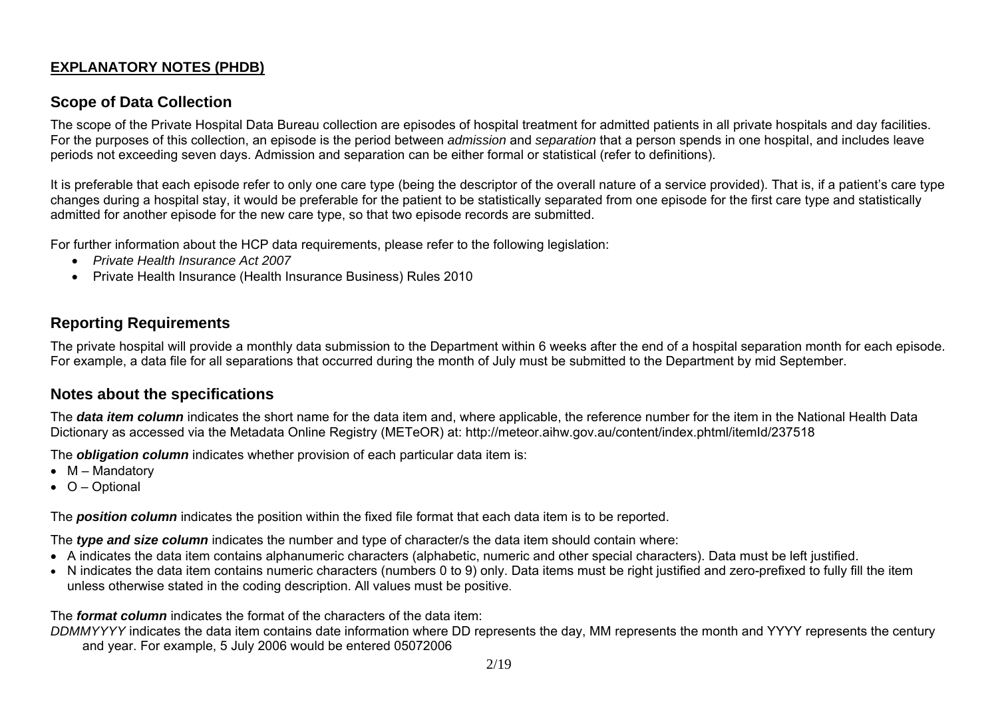### **EXPLANATORY NOTES (PHDB)**

#### **Scope of Data Collection**

The scope of the Private Hospital Data Bureau collection are episodes of hospital treatment for admitted patients in all private hospitals and day facilities. For the purposes of this collection, an episode is the period between *admission* and *separation* that a person spends in one hospital, and includes leave periods not exceeding seven days. Admission and separation can be either formal or statistical (refer to definitions).

It is preferable that each episode refer to only one care type (being the descriptor of the overall nature of a service provided). That is, if a patient's care type changes during a hospital stay, it would be preferable for the patient to be statistically separated from one episode for the first care type and statistically admitted for another episode for the new care type, so that two episode records are submitted.

For further information about the HCP data requirements, please refer to the following legislation:

- *Private Health Insurance Act 2007*
- Private Health Insurance (Health Insurance Business) Rules 2010

### **Reporting Requirements**

The private hospital will provide a monthly data submission to the Department within 6 weeks after the end of a hospital separation month for each episode. For example, a data file for all separations that occurred during the month of July must be submitted to the Department by mid September.

#### **Notes about the specifications**

The *data item column* indicates the short name for the data item and, where applicable, the reference number for the item in the National Health Data Dictionary as accessed via the Metadata Online Registry (METeOR) at: http://meteor.aihw.gov.au/content/index.phtml/itemId/237518

The *obligation column* indicates whether provision of each particular data item is:

- $M M$ andatory
- $\bullet$  O Optional

The *position column* indicates the position within the fixed file format that each data item is to be reported.

The *type and size column* indicates the number and type of character/s the data item should contain where:

- A indicates the data item contains alphanumeric characters (alphabetic, numeric and other special characters). Data must be left justified.
- N indicates the data item contains numeric characters (numbers 0 to 9) only. Data items must be right justified and zero-prefixed to fully fill the item unless otherwise stated in the coding description. All values must be positive.

The *format column* indicates the format of the characters of the data item:

*DDMMYYYY* indicates the data item contains date information where DD represents the day, MM represents the month and YYYY represents the century and year. For example, 5 July 2006 would be entered 05072006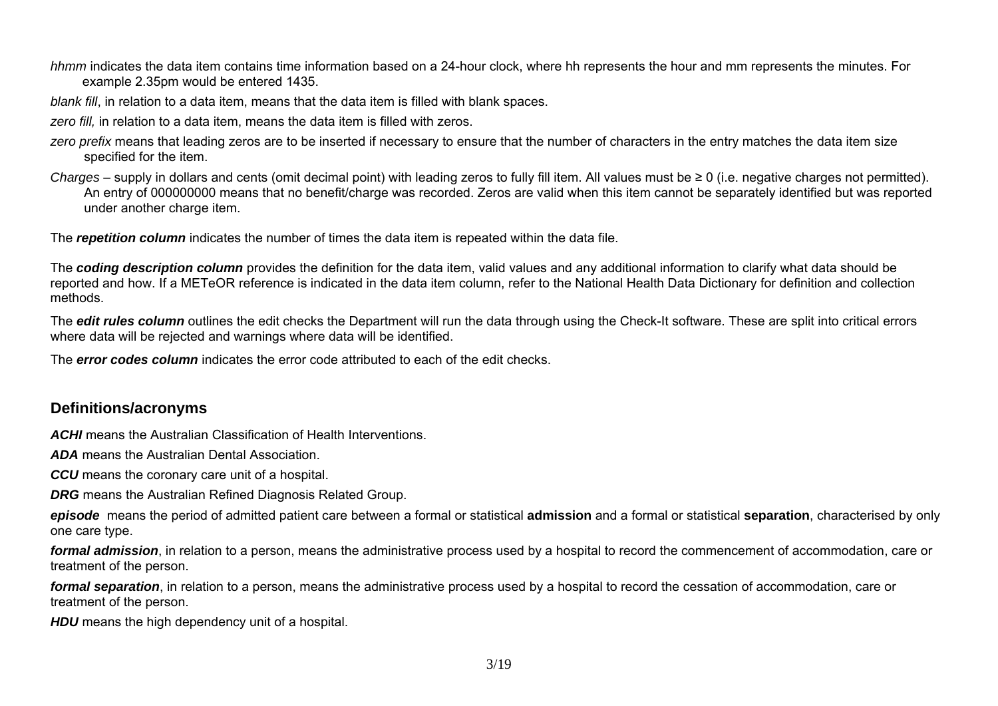*hhmm* indicates the data item contains time information based on a 24-hour clock, where hh represents the hour and mm represents the minutes. For example 2.35pm would be entered 1435.

*blank fill*, in relation to a data item, means that the data item is filled with blank spaces.

zero *fill*, in relation to a data item, means the data item is filled with zeros.

- zero prefix means that leading zeros are to be inserted if necessary to ensure that the number of characters in the entry matches the data item size specified for the item.
- *Charges*  supply in dollars and cents (omit decimal point) with leading zeros to fully fill item. All values must be ≥ 0 (i.e. negative charges not permitted). An entry of 000000000 means that no benefit/charge was recorded. Zeros are valid when this item cannot be separately identified but was reported under another charge item.

The *repetition column* indicates the number of times the data item is repeated within the data file.

The *coding description column* provides the definition for the data item, valid values and any additional information to clarify what data should be reported and how. If a METeOR reference is indicated in the data item column, refer to the National Health Data Dictionary for definition and collection methods.

The **edit rules column** outlines the edit checks the Department will run the data through using the Check-It software. These are split into critical errors where data will be rejected and warnings where data will be identified.

The *error codes column* indicates the error code attributed to each of the edit checks.

## **Definitions/acronyms**

*ACHI* means the Australian Classification of Health Interventions.

*ADA* means the Australian Dental Association.

**CCU** means the coronary care unit of a hospital.

*DRG* means the Australian Refined Diagnosis Related Group.

*episode* means the period of admitted patient care between a formal or statistical **[admission](http://meteor.aihw.gov.au/content/index.phtml/itemId/327206)** and a formal or statistical **[separation](http://meteor.aihw.gov.au/content/index.phtml/itemId/327268)**, characterised by only one care type.

*formal admission*, in relation to a person, means the administrative process used by a hospital to record the commencement of accommodation, care or treatment of the person.

*formal separation*, in relation to a person, means the administrative process used by a hospital to record the cessation of accommodation, care or treatment of the person.

**HDU** means the high dependency unit of a hospital.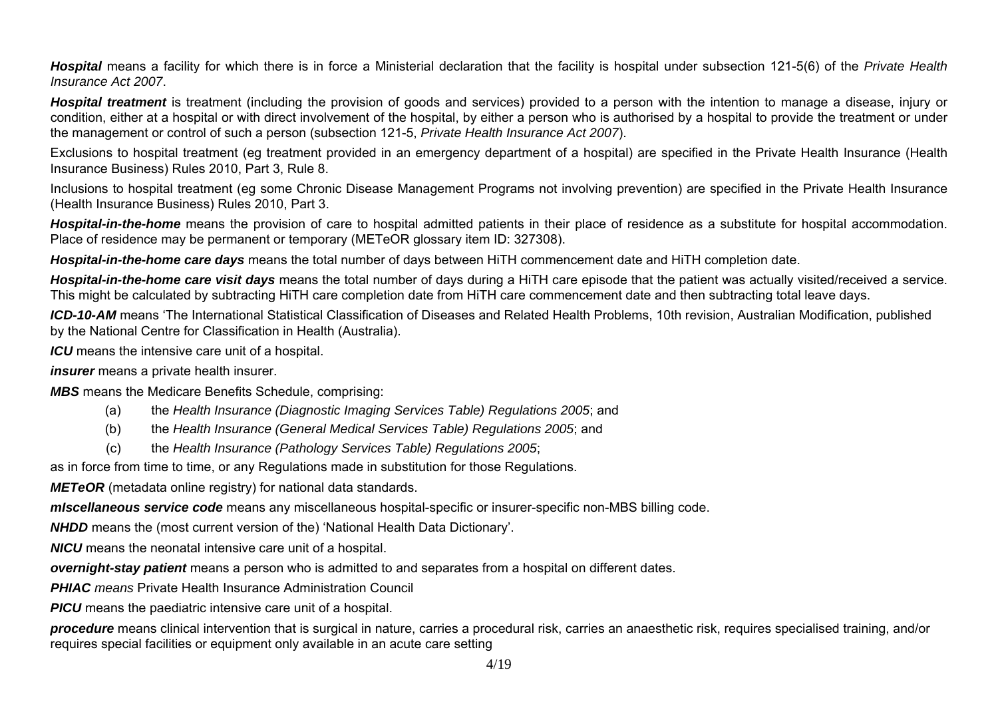*Hospital* means a facility for which there is in force a Ministerial declaration that the facility is hospital under subsection 121-5(6) of the *Private Health Insurance Act 2007*.

*Hospital treatment* is treatment (including the provision of goods and services) provided to a person with the intention to manage a disease, injury or condition, either at a hospital or with direct involvement of the hospital, by either a person who is authorised by a hospital to provide the treatment or under the management or control of such a person (subsection 121-5, *Private Health Insurance Act 2007*).

Exclusions to hospital treatment (eg treatment provided in an emergency department of a hospital) are specified in the Private Health Insurance (Health Insurance Business) Rules 2010, Part 3, Rule 8.

Inclusions to hospital treatment (eg some Chronic Disease Management Programs not involving prevention) are specified in the Private Health Insurance (Health Insurance Business) Rules 2010, Part 3.

*Hospital-in-the-home* means the provision of care to hospital admitted patients in their place of residence as a substitute for hospital accommodation. Place of residence may be permanent or temporary (METeOR glossary item ID: 327308).

*Hospital-in-the-home care days* means the total number of days between HiTH commencement date and HiTH completion date.

*Hospital-in-the-home care visit days* means the total number of days during a HiTH care episode that the patient was actually visited/received a service. This might be calculated by subtracting HiTH care completion date from HiTH care commencement date and then subtracting total leave days.

*ICD-10-AM* means 'The International Statistical Classification of Diseases and Related Health Problems, 10th revision, Australian Modification, published by the National Centre for Classification in Health (Australia).

*ICU* means the intensive care unit of a hospital.

*insurer* means a private health insurer.

*MBS* means the Medicare Benefits Schedule, comprising:

- (a) the *Health Insurance (Diagnostic Imaging Services Table) Regulations 2005*; and
- (b) the *Health Insurance (General Medical Services Table) Regulations 2005*; and
- (c) the *Health Insurance (Pathology Services Table) Regulations 2005*;

as in force from time to time, or any Regulations made in substitution for those Regulations.

*METeOR* (metadata online registry) for national data standards.

*mIscellaneous service code* means any miscellaneous hospital-specific or insurer-specific non-MBS billing code.

*NHDD* means the (most current version of the) 'National Health Data Dictionary'.

*NICU* means the neonatal intensive care unit of a hospital.

*overnight-stay patient* means a person who is admitted to and separates from a hospital on different dates.

*PHIAC means* Private Health Insurance Administration Council

*PICU* means the paediatric intensive care unit of a hospital.

*procedure* means clinical intervention that is surgical in nature, carries a procedural risk, carries an anaesthetic risk, requires specialised training, and/or requires special facilities or equipment only available in an acute care setting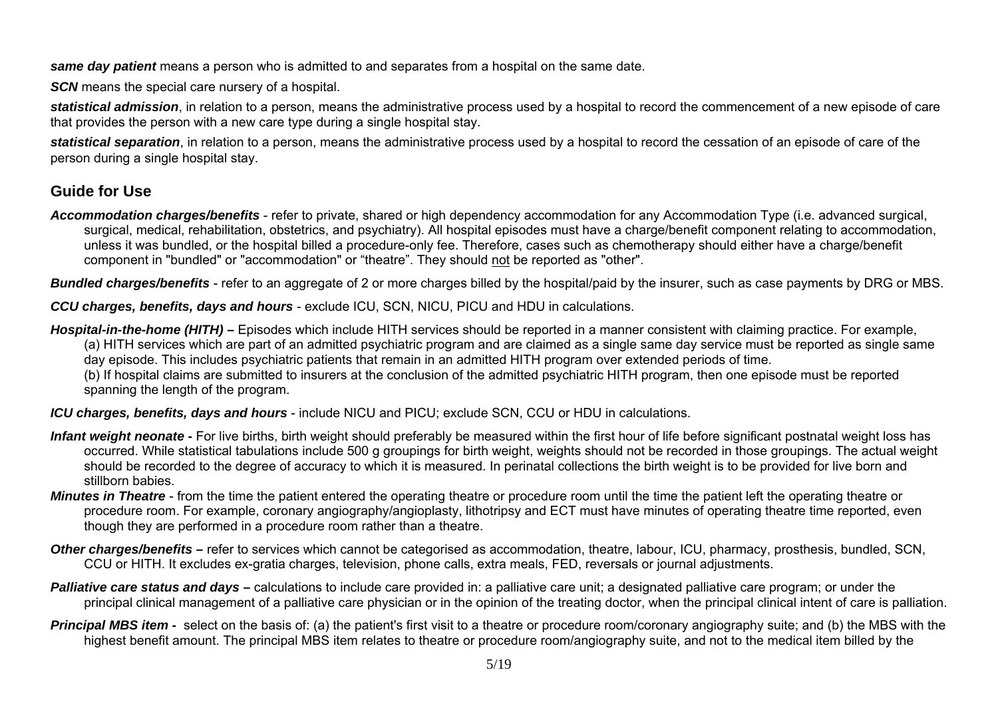*same day patient* means a person who is admitted to and separates from a hospital on the same date.

*SCN* means the special care nursery of a hospital.

*statistical admission*, in relation to a person, means the administrative process used by a hospital to record the commencement of a new episode of care that provides the person with a new care type during a single hospital stay.

*statistical separation*, in relation to a person, means the administrative process used by a hospital to record the cessation of an episode of care of the person during a single hospital stay.

## **Guide for Use**

*Accommodation charges/benefits* - refer to private, shared or high dependency accommodation for any Accommodation Type (i.e. advanced surgical, surgical, medical, rehabilitation, obstetrics, and psychiatry). All hospital episodes must have a charge/benefit component relating to accommodation, unless it was bundled, or the hospital billed a procedure-only fee. Therefore, cases such as chemotherapy should either have a charge/benefit component in "bundled" or "accommodation" or "theatre". They should not be reported as "other".

*Bundled charges/benefits* - refer to an aggregate of 2 or more charges billed by the hospital/paid by the insurer, such as case payments by DRG or MBS.

*CCU charges, benefits, days and hours* - exclude ICU, SCN, NICU, PICU and HDU in calculations.

**Hospital-in-the-home (HITH)** – Episodes which include HITH services should be reported in a manner consistent with claiming practice. For example, (a) HITH services which are part of an admitted psychiatric program and are claimed as a single same day service must be reported as single same day episode. This includes psychiatric patients that remain in an admitted HITH program over extended periods of time.

(b) If hospital claims are submitted to insurers at the conclusion of the admitted psychiatric HITH program, then one episode must be reported spanning the length of the program.

*ICU charges, benefits, days and hours* - include NICU and PICU; exclude SCN, CCU or HDU in calculations.

- Infant weight neonate For [live births](http://meteor.aihw.gov.au/content/pop/index.phtml/itemId/265594), [birth weight](http://meteor.aihw.gov.au/content/pop/index.phtml/itemId/265625) should preferably be measured within the first hour of life before significant postnatal weight loss has occurred. While statistical tabulations include 500 g groupings for birth weight, weights should not be recorded in those groupings. The actual weight should be recorded to the degree of accuracy to which it is measured. In perinatal collections the birth weight is to be provided for live born and stillborn babies.
- *Minutes in Theatre* from the time the patient entered the operating theatre or procedure room until the time the patient left the operating theatre or procedure room. For example, coronary angiography/angioplasty, lithotripsy and ECT must have minutes of operating theatre time reported, even though they are performed in a procedure room rather than a theatre.
- **Other charges/benefits** refer to services which cannot be categorised as accommodation, theatre, labour, ICU, pharmacy, prosthesis, bundled, SCN, CCU or HITH. It excludes ex-gratia charges, television, phone calls, extra meals, FED, reversals or journal adjustments.
- **Palliative care status and days** calculations to include care provided in: a palliative care unit; a designated palliative care program; or under the principal clinical management of a palliative care physician or in the opinion of the treating doctor, when the principal clinical intent of care is palliation.
- **Principal MBS item** select on the basis of: (a) the patient's first visit to a theatre or procedure room/coronary angiography suite; and (b) the MBS with the highest benefit amount. The principal MBS item relates to theatre or procedure room/angiography suite, and not to the medical item billed by the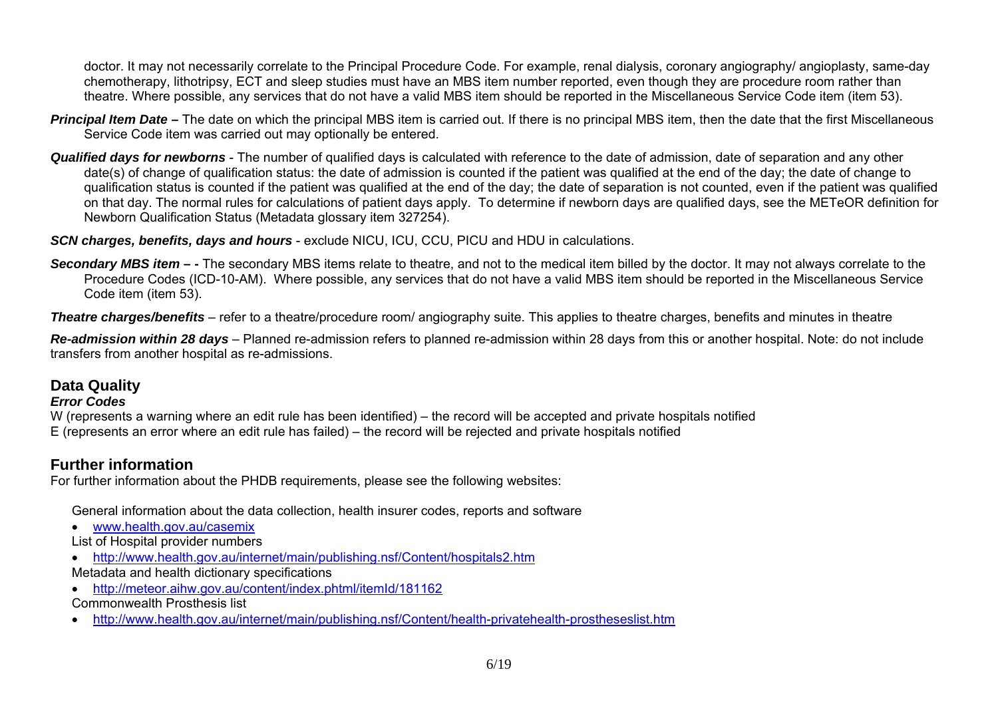doctor. It may not necessarily correlate to the Principal Procedure Code. For example, renal dialysis, coronary angiography/ angioplasty, same-day chemotherapy, lithotripsy, ECT and sleep studies must have an MBS item number reported, even though they are procedure room rather than theatre. Where possible, any services that do not have a valid MBS item should be reported in the Miscellaneous Service Code item (item 53).

- **Principal Item Date –** The date on which the principal MBS item is carried out. If there is no principal MBS item, then the date that the first Miscellaneous Service Code item was carried out may optionally be entered.
- *Qualified days for newborns* The number of qualified days is calculated with reference to the date of admission, date of separation and any other date(s) of change of qualification status: the date of admission is counted if the patient was qualified at the end of the day; the date of change to qualification status is counted if the patient was qualified at the end of the day; the date of separation is not counted, even if the patient was qualified on that day. The normal rules for calculations of patient days apply. To determine if newborn days are qualified days, see the METeOR definition for Newborn Qualification Status (Metadata glossary item 327254).

*SCN charges, benefits, days and hours* - exclude NICU, ICU, CCU, PICU and HDU in calculations.

**Secondary MBS item –** - The secondary MBS items relate to theatre, and not to the medical item billed by the doctor. It may not always correlate to the Procedure Codes (ICD-10-AM). Where possible, any services that do not have a valid MBS item should be reported in the Miscellaneous Service Code item (item 53).

*Theatre charges/benefits* – refer to a theatre/procedure room/ angiography suite. This applies to theatre charges, benefits and minutes in theatre

*Re-admission within 28 days* – Planned re-admission refers to planned re-admission within 28 days from this or another hospital. Note: do not include transfers from another hospital as re-admissions.

### **Data Quality**

#### *Error Codes*

W (represents a warning where an edit rule has been identified) – the record will be accepted and private hospitals notified E (represents an error where an edit rule has failed) – the record will be rejected and private hospitals notified

## **Further information**

For further information about the PHDB requirements, please see the following websites:

General information about the data collection, health insurer codes, reports and software

- [www.health.gov.au/casemix](http://www.health.gov.au/casemix)
- List of Hospital provider numbers
- <http://www.health.gov.au/internet/main/publishing.nsf/Content/hospitals2.htm>
- Metadata and health dictionary specifications
- <http://meteor.aihw.gov.au/content/index.phtml/itemId/181162>

Commonwealth Prosthesis list

 $\bullet$ http://www.health.gov.au/internet/main/publishing.nsf/Content/health-privatehealth-prostheseslist.htm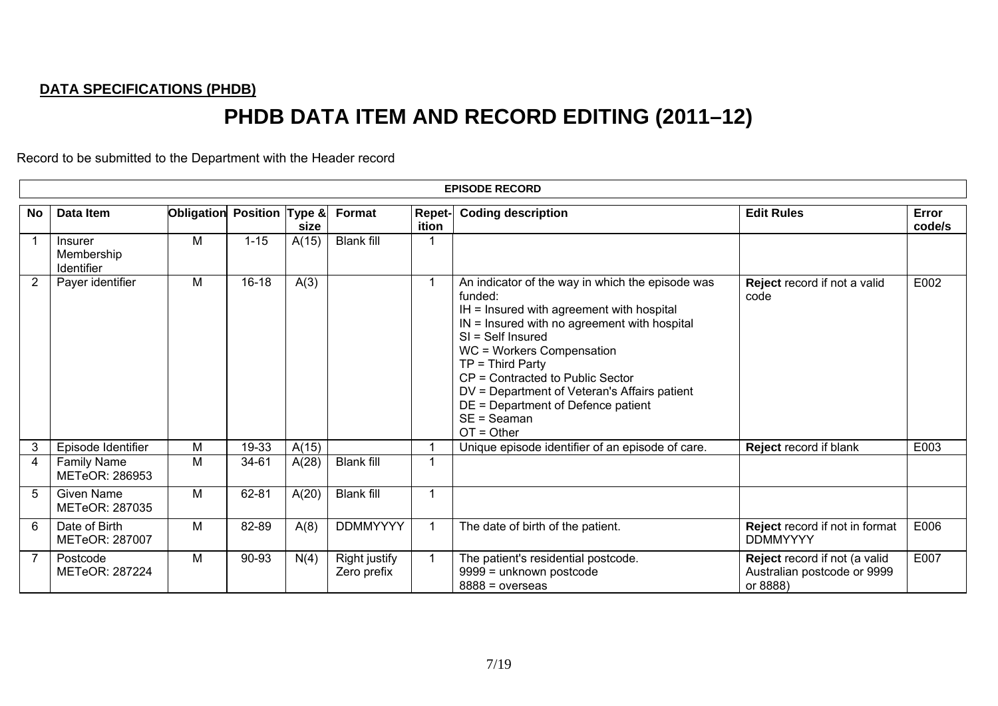#### **DATA SPECIFICATIONS (PHDB)**

# **PHDB DATA ITEM AND RECORD EDITING (2011–12)**

Record to be submitted to the Department with the Header record

|                |                                            |                            |          |       |                                     |                        | <b>EPISODE RECORD</b>                                                                                                                                                                                                                                                                                                                                                                           |                                                                          |                 |
|----------------|--------------------------------------------|----------------------------|----------|-------|-------------------------------------|------------------------|-------------------------------------------------------------------------------------------------------------------------------------------------------------------------------------------------------------------------------------------------------------------------------------------------------------------------------------------------------------------------------------------------|--------------------------------------------------------------------------|-----------------|
| No             | Data Item                                  | Obligation Position Type & |          | size  | <b>Format</b>                       | <b>Repet-</b><br>ition | <b>Coding description</b>                                                                                                                                                                                                                                                                                                                                                                       | <b>Edit Rules</b>                                                        | Error<br>code/s |
|                | <b>Insurer</b><br>Membership<br>Identifier | M                          | $1 - 15$ | A(15) | <b>Blank fill</b>                   |                        |                                                                                                                                                                                                                                                                                                                                                                                                 |                                                                          |                 |
| 2              | Payer identifier                           | М                          | 16-18    | A(3)  |                                     |                        | An indicator of the way in which the episode was<br>funded:<br>IH = Insured with agreement with hospital<br>$IN =$ Insured with no agreement with hospital<br>$SI = Self$ Insured<br>WC = Workers Compensation<br>$TP = Third Party$<br>CP = Contracted to Public Sector<br>DV = Department of Veteran's Affairs patient<br>DE = Department of Defence patient<br>$SE = Seaman$<br>$OT = Other$ | Reject record if not a valid<br>code                                     | E002            |
| 3              | Episode Identifier                         | М                          | 19-33    | A(15) |                                     | -1                     | Unique episode identifier of an episode of care.                                                                                                                                                                                                                                                                                                                                                | Reject record if blank                                                   | E003            |
| 4              | <b>Family Name</b><br>METeOR: 286953       | M                          | 34-61    | A(28) | <b>Blank fill</b>                   | 1                      |                                                                                                                                                                                                                                                                                                                                                                                                 |                                                                          |                 |
| 5              | <b>Given Name</b><br>METeOR: 287035        | М                          | 62-81    | A(20) | <b>Blank fill</b>                   | 1                      |                                                                                                                                                                                                                                                                                                                                                                                                 |                                                                          |                 |
| 6              | Date of Birth<br><b>METeOR: 287007</b>     | М                          | 82-89    | A(8)  | <b>DDMMYYYY</b>                     | -1                     | The date of birth of the patient.                                                                                                                                                                                                                                                                                                                                                               | Reject record if not in format<br><b>DDMMYYYY</b>                        | E006            |
| $\overline{7}$ | Postcode<br>METeOR: 287224                 | М                          | 90-93    | N(4)  | <b>Right justify</b><br>Zero prefix | $\mathbf{1}$           | The patient's residential postcode.<br>9999 = unknown postcode<br>$8888 = 0$ verseas                                                                                                                                                                                                                                                                                                            | Reject record if not (a valid<br>Australian postcode or 9999<br>or 8888) | E007            |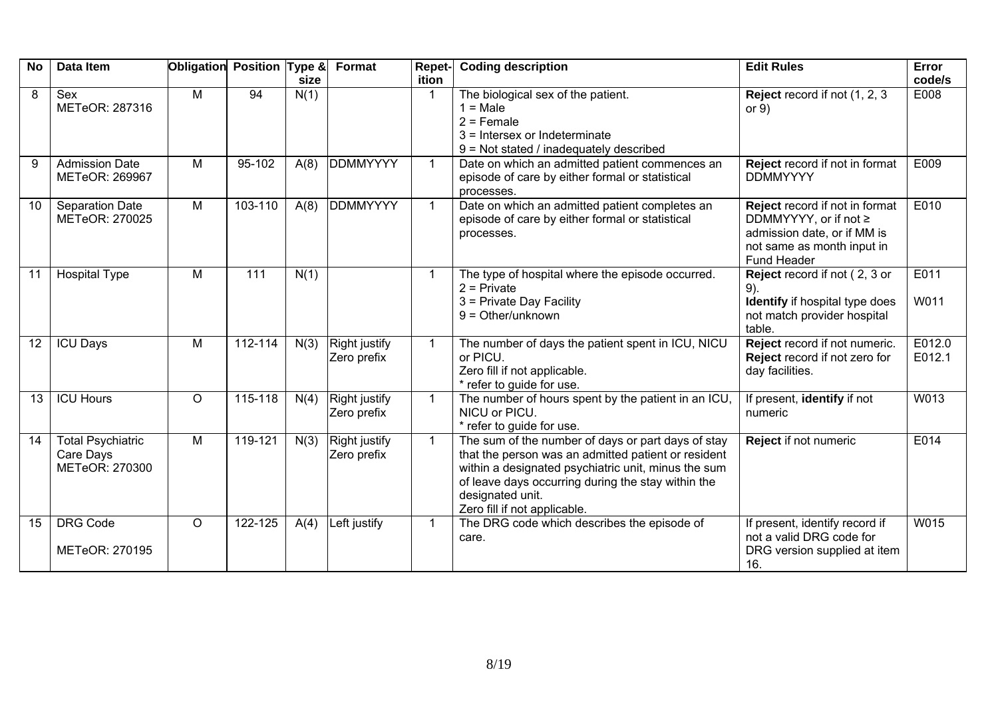| <b>No</b> | Data Item                                               | Obligation Position Type & |         | size | Format                              | Repet-<br>ition | <b>Coding description</b>                                                                                                                                                                                                                                                  | <b>Edit Rules</b>                                                                                                                   | Error<br>code/s  |
|-----------|---------------------------------------------------------|----------------------------|---------|------|-------------------------------------|-----------------|----------------------------------------------------------------------------------------------------------------------------------------------------------------------------------------------------------------------------------------------------------------------------|-------------------------------------------------------------------------------------------------------------------------------------|------------------|
| 8         | Sex<br>METeOR: 287316                                   | M                          | 94      | N(1) |                                     | $\mathbf 1$     | The biological sex of the patient.<br>$1 = Male$<br>$2 =$ Female<br>$3$ = Intersex or Indeterminate<br>9 = Not stated / inadequately described                                                                                                                             | Reject record if not (1, 2, 3<br>or $9)$                                                                                            | E008             |
| 9         | <b>Admission Date</b><br>METeOR: 269967                 | M                          | 95-102  | A(8) | <b>DDMMYYYY</b>                     | $\mathbf{1}$    | Date on which an admitted patient commences an<br>episode of care by either formal or statistical<br>processes.                                                                                                                                                            | Reject record if not in format<br><b>DDMMYYYY</b>                                                                                   | E009             |
| 10        | Separation Date<br>METeOR: 270025                       | M                          | 103-110 | A(8) | <b>DDMMYYYY</b>                     | $\mathbf{1}$    | Date on which an admitted patient completes an<br>episode of care by either formal or statistical<br>processes.                                                                                                                                                            | Reject record if not in format<br>DDMMYYYY, or if not ≥<br>admission date, or if MM is<br>not same as month input in<br>Fund Header | E010             |
| 11        | <b>Hospital Type</b>                                    | M                          | 111     | N(1) |                                     | $\mathbf{1}$    | The type of hospital where the episode occurred.<br>$2$ = Private<br>3 = Private Day Facility<br>$9 = Other/unknown$                                                                                                                                                       | Reject record if not (2, 3 or<br>$9)$ .<br>Identify if hospital type does<br>not match provider hospital<br>table.                  | E011<br>W011     |
| 12        | <b>ICU Days</b>                                         | M                          | 112-114 | N(3) | <b>Right justify</b><br>Zero prefix | $\mathbf{1}$    | The number of days the patient spent in ICU, NICU<br>or PICU.<br>Zero fill if not applicable.<br>* refer to guide for use.                                                                                                                                                 | Reject record if not numeric.<br>Reject record if not zero for<br>day facilities.                                                   | E012.0<br>E012.1 |
| 13        | <b>ICU Hours</b>                                        | $\circ$                    | 115-118 | N(4) | <b>Right justify</b><br>Zero prefix | $\mathbf{1}$    | The number of hours spent by the patient in an ICU,<br>NICU or PICU.<br>* refer to guide for use.                                                                                                                                                                          | If present, identify if not<br>numeric                                                                                              | W013             |
| 14        | <b>Total Psychiatric</b><br>Care Days<br>METeOR: 270300 | $\overline{M}$             | 119-121 | N(3) | <b>Right justify</b><br>Zero prefix | $\overline{1}$  | The sum of the number of days or part days of stay<br>that the person was an admitted patient or resident<br>within a designated psychiatric unit, minus the sum<br>of leave days occurring during the stay within the<br>designated unit.<br>Zero fill if not applicable. | Reject if not numeric                                                                                                               | E014             |
| 15        | <b>DRG Code</b><br>METeOR: 270195                       | $\circ$                    | 122-125 | A(4) | Left justify                        | $\mathbf{1}$    | The DRG code which describes the episode of<br>care.                                                                                                                                                                                                                       | If present, identify record if<br>not a valid DRG code for<br>DRG version supplied at item<br>16.                                   | W015             |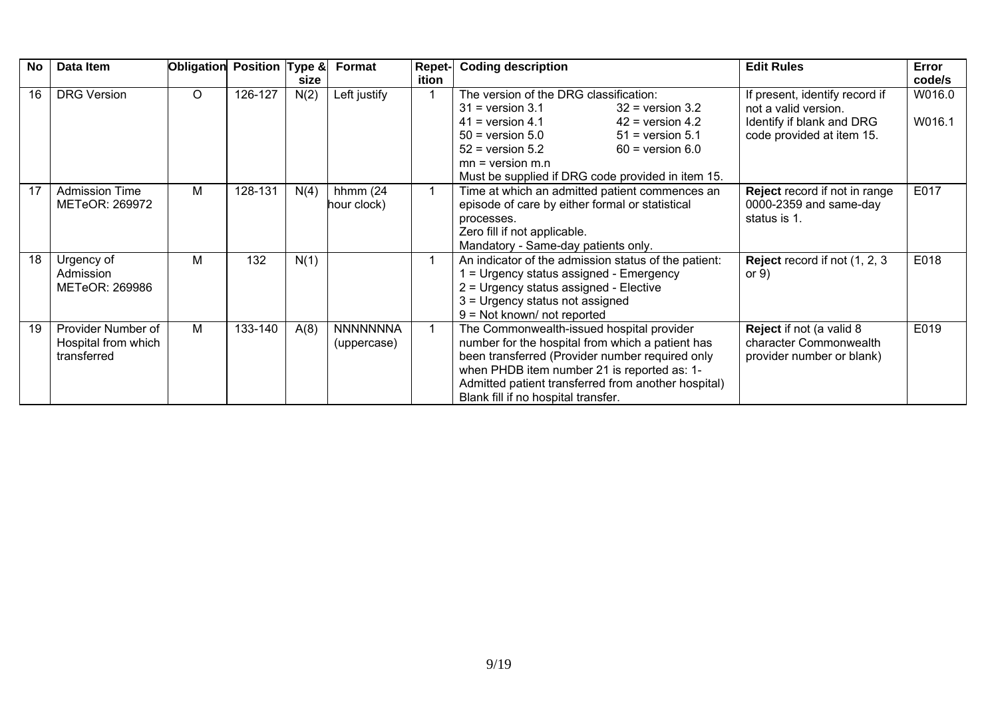| <b>No</b> | Data Item                                                | Obligation | Position Type & |      | Format                         | <b>Repet-</b> | <b>Coding description</b>                                                                                                                                                                                                                                                                                 | <b>Edit Rules</b>                                                                                                | Error            |
|-----------|----------------------------------------------------------|------------|-----------------|------|--------------------------------|---------------|-----------------------------------------------------------------------------------------------------------------------------------------------------------------------------------------------------------------------------------------------------------------------------------------------------------|------------------------------------------------------------------------------------------------------------------|------------------|
|           |                                                          |            |                 | size |                                | ition         |                                                                                                                                                                                                                                                                                                           |                                                                                                                  | code/s           |
| 16        | <b>DRG Version</b>                                       | $\circ$    | 126-127         | N(2) | Left justify                   |               | The version of the DRG classification:<br>$31$ = version 3.1<br>$32$ = version $3.2$<br>$41$ = version 4.1<br>$42$ = version 4.2<br>$50 =$ version $5.0$<br>$51$ = version 5.1<br>$52$ = version $5.2$<br>$60 =$ version $6.0$<br>$mn = version m.n$<br>Must be supplied if DRG code provided in item 15. | If present, identify record if<br>not a valid version.<br>Identify if blank and DRG<br>code provided at item 15. | W016.0<br>W016.1 |
| 17        | <b>Admission Time</b><br>METeOR: 269972                  | м          | 128-131         | N(4) | hhmm $(24)$<br>hour clock)     |               | Time at which an admitted patient commences an<br>episode of care by either formal or statistical<br>processes.<br>Zero fill if not applicable.<br>Mandatory - Same-day patients only.                                                                                                                    | Reject record if not in range<br>0000-2359 and same-day<br>status is 1.                                          | E017             |
| 18        | Urgency of<br>Admission<br>METeOR: 269986                | м          | 132             | N(1) |                                |               | An indicator of the admission status of the patient:<br>= Urgency status assigned - Emergency<br>2 = Urgency status assigned - Elective<br>3 = Urgency status not assigned<br>$9 = Not known/ not reported$                                                                                               | <b>Reject</b> record if not (1, 2, 3)<br>or $9)$                                                                 | E018             |
| 19        | Provider Number of<br>Hospital from which<br>transferred | м          | 133-140         | A(8) | <b>NNNNNNNA</b><br>(uppercase) |               | The Commonwealth-issued hospital provider<br>number for the hospital from which a patient has<br>been transferred (Provider number required only<br>when PHDB item number 21 is reported as: 1-<br>Admitted patient transferred from another hospital)<br>Blank fill if no hospital transfer.             | Reject if not (a valid 8<br>character Commonwealth<br>provider number or blank)                                  | E019             |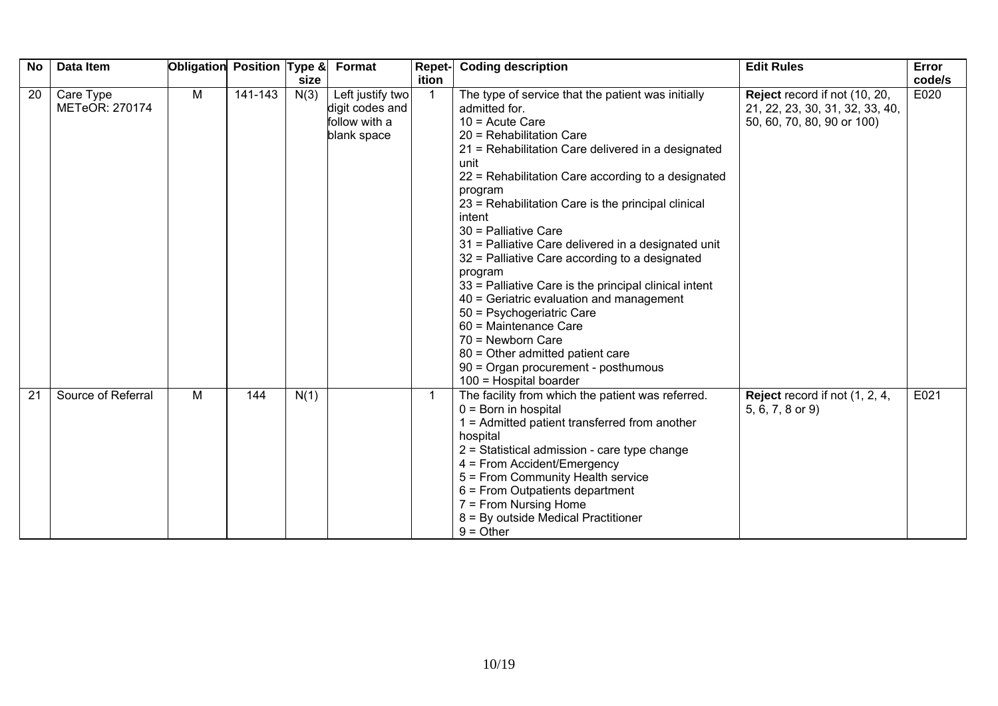| <b>No</b> | Data Item                   | Obligation | Position Type & |      | Format                                                              | Repet-       | <b>Coding description</b>                                                                                                                                                                                                                                                                                                                                                                                                                                                                                                                                                                                                                                                                                                                              | <b>Edit Rules</b>                                                                              | Error  |
|-----------|-----------------------------|------------|-----------------|------|---------------------------------------------------------------------|--------------|--------------------------------------------------------------------------------------------------------------------------------------------------------------------------------------------------------------------------------------------------------------------------------------------------------------------------------------------------------------------------------------------------------------------------------------------------------------------------------------------------------------------------------------------------------------------------------------------------------------------------------------------------------------------------------------------------------------------------------------------------------|------------------------------------------------------------------------------------------------|--------|
|           |                             |            |                 | size |                                                                     | ition        |                                                                                                                                                                                                                                                                                                                                                                                                                                                                                                                                                                                                                                                                                                                                                        |                                                                                                | code/s |
| 20        | Care Type<br>METeOR: 270174 | M          | $141 - 143$     | N(3) | Left justify two<br>digit codes and<br>follow with a<br>blank space | -1           | The type of service that the patient was initially<br>admitted for.<br>$10 =$ Acute Care<br>20 = Rehabilitation Care<br>21 = Rehabilitation Care delivered in a designated<br>unit<br>22 = Rehabilitation Care according to a designated<br>program<br>23 = Rehabilitation Care is the principal clinical<br>intent<br>30 = Palliative Care<br>31 = Palliative Care delivered in a designated unit<br>32 = Palliative Care according to a designated<br>program<br>33 = Palliative Care is the principal clinical intent<br>40 = Geriatric evaluation and management<br>50 = Psychogeriatric Care<br>60 = Maintenance Care<br>70 = Newborn Care<br>80 = Other admitted patient care<br>90 = Organ procurement - posthumous<br>$100$ = Hospital boarder | Reject record if not (10, 20,<br>21, 22, 23, 30, 31, 32, 33, 40,<br>50, 60, 70, 80, 90 or 100) | E020   |
| 21        | Source of Referral          | M          | 144             | N(1) |                                                                     | $\mathbf{1}$ | The facility from which the patient was referred.<br>$0 = Born$ in hospital<br>$1 =$ Admitted patient transferred from another<br>hospital<br>2 = Statistical admission - care type change<br>4 = From Accident/Emergency<br>5 = From Community Health service<br>$6$ = From Outpatients department<br>7 = From Nursing Home<br>8 = By outside Medical Practitioner<br>$9 = Other$                                                                                                                                                                                                                                                                                                                                                                     | Reject record if not (1, 2, 4,<br>5, 6, 7, 8 or 9)                                             | E021   |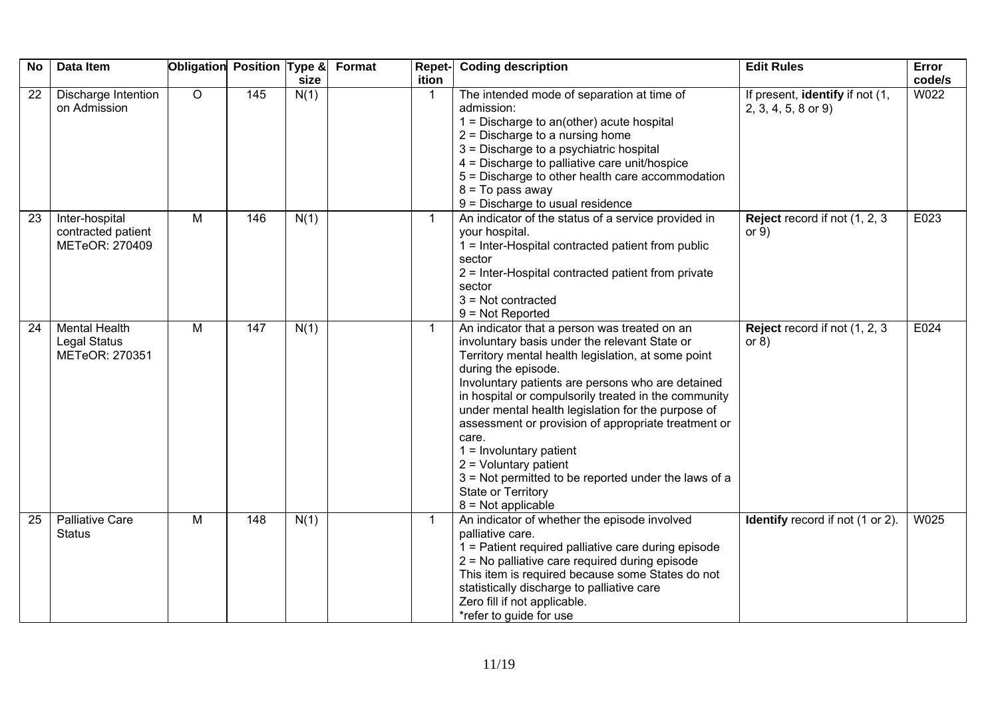| <b>No</b> | Data Item                                                     | Obligation Position Type & |     | size | Format<br>Repet-<br>ition | <b>Coding description</b>                                                                                                                                                                                                                                                                                                                                                                                                                                                                                                                                                   | <b>Edit Rules</b>                                        | Error<br>code/s |
|-----------|---------------------------------------------------------------|----------------------------|-----|------|---------------------------|-----------------------------------------------------------------------------------------------------------------------------------------------------------------------------------------------------------------------------------------------------------------------------------------------------------------------------------------------------------------------------------------------------------------------------------------------------------------------------------------------------------------------------------------------------------------------------|----------------------------------------------------------|-----------------|
| 22        | Discharge Intention<br>on Admission                           | $\overline{O}$             | 145 | N(1) | -1                        | The intended mode of separation at time of<br>admission:<br>$1 =$ Discharge to an(other) acute hospital<br>$2$ = Discharge to a nursing home<br>3 = Discharge to a psychiatric hospital<br>4 = Discharge to palliative care unit/hospice<br>5 = Discharge to other health care accommodation<br>$8 = To pass away$<br>9 = Discharge to usual residence                                                                                                                                                                                                                      | If present, identify if not (1,<br>$2, 3, 4, 5, 8$ or 9) | W022            |
| 23        | Inter-hospital<br>contracted patient<br>METeOR: 270409        | M                          | 146 | N(1) | $\mathbf{1}$              | An indicator of the status of a service provided in<br>your hospital.<br>1 = Inter-Hospital contracted patient from public<br>sector<br>2 = Inter-Hospital contracted patient from private<br>sector<br>$3 = Not contracted$<br>$9 = Not Reported$                                                                                                                                                                                                                                                                                                                          | Reject record if not (1, 2, 3)<br>or $9)$                | E023            |
| 24        | <b>Mental Health</b><br><b>Legal Status</b><br>METeOR: 270351 | M                          | 147 | N(1) | $\mathbf 1$               | An indicator that a person was treated on an<br>involuntary basis under the relevant State or<br>Territory mental health legislation, at some point<br>during the episode.<br>Involuntary patients are persons who are detained<br>in hospital or compulsorily treated in the community<br>under mental health legislation for the purpose of<br>assessment or provision of appropriate treatment or<br>care.<br>$1 =$ Involuntary patient<br>$2 =$ Voluntary patient<br>3 = Not permitted to be reported under the laws of a<br>State or Territory<br>$8 = Not applicable$ | Reject record if not (1, 2, 3)<br>or $8)$                | E024            |
| 25        | <b>Palliative Care</b><br><b>Status</b>                       | $\overline{M}$             | 148 | N(1) | -1                        | An indicator of whether the episode involved<br>palliative care.<br>1 = Patient required palliative care during episode<br>2 = No palliative care required during episode<br>This item is required because some States do not<br>statistically discharge to palliative care<br>Zero fill if not applicable.<br>*refer to guide for use                                                                                                                                                                                                                                      | <b>Identify</b> record if not (1 or 2).                  | W025            |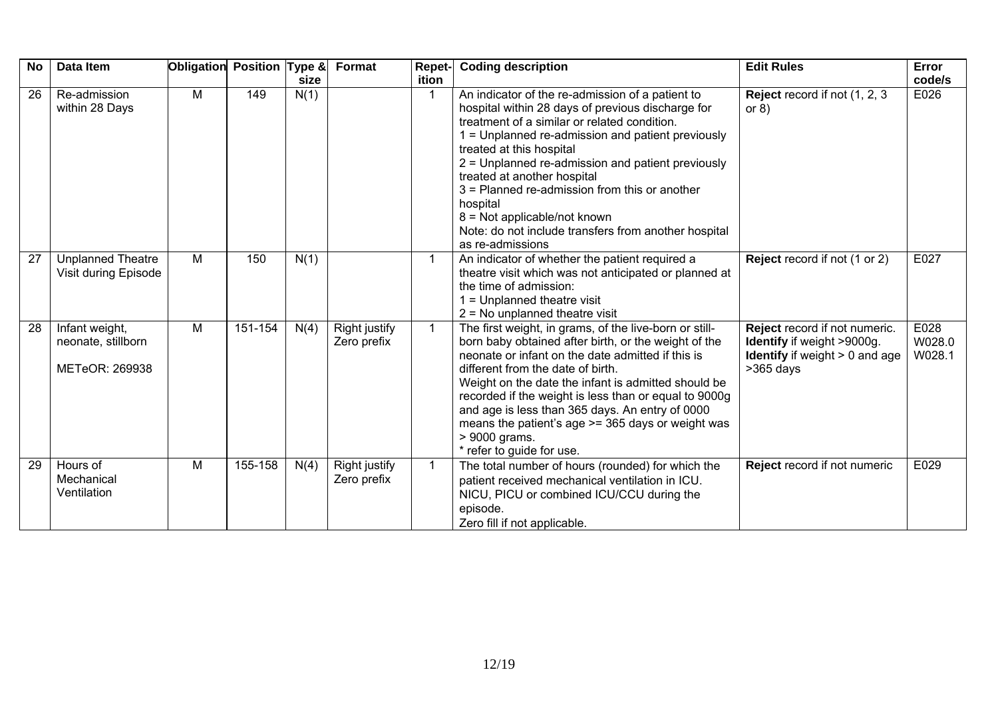| <b>No</b> | Data Item                                              | Obligation Position Type & |         | size | Format                              | Repet-<br>ition | <b>Coding description</b>                                                                                                                                                                                                                                                                                                                                                                                                                                                                           | <b>Edit Rules</b>                                                                                                     | Error<br>code/s          |
|-----------|--------------------------------------------------------|----------------------------|---------|------|-------------------------------------|-----------------|-----------------------------------------------------------------------------------------------------------------------------------------------------------------------------------------------------------------------------------------------------------------------------------------------------------------------------------------------------------------------------------------------------------------------------------------------------------------------------------------------------|-----------------------------------------------------------------------------------------------------------------------|--------------------------|
| 26        | Re-admission<br>within 28 Days                         | M                          | 149     | N(1) |                                     |                 | An indicator of the re-admission of a patient to<br>hospital within 28 days of previous discharge for<br>treatment of a similar or related condition.<br>1 = Unplanned re-admission and patient previously<br>treated at this hospital<br>2 = Unplanned re-admission and patient previously<br>treated at another hospital<br>3 = Planned re-admission from this or another<br>hospital<br>8 = Not applicable/not known<br>Note: do not include transfers from another hospital<br>as re-admissions | Reject record if not (1, 2, 3)<br>or $8)$                                                                             | E026                     |
| 27        | <b>Unplanned Theatre</b><br>Visit during Episode       | M                          | 150     | N(1) |                                     | $\mathbf 1$     | An indicator of whether the patient required a<br>theatre visit which was not anticipated or planned at<br>the time of admission:<br>$1 =$ Unplanned theatre visit<br>$2 = No$ unplanned theatre visit                                                                                                                                                                                                                                                                                              | Reject record if not (1 or 2)                                                                                         | E027                     |
| 28        | Infant weight,<br>neonate, stillborn<br>METeOR: 269938 | M                          | 151-154 | N(4) | <b>Right justify</b><br>Zero prefix | $\mathbf{1}$    | The first weight, in grams, of the live-born or still-<br>born baby obtained after birth, or the weight of the<br>neonate or infant on the date admitted if this is<br>different from the date of birth.<br>Weight on the date the infant is admitted should be<br>recorded if the weight is less than or equal to 9000g<br>and age is less than 365 days. An entry of 0000<br>means the patient's age >= 365 days or weight was<br>> 9000 grams.<br>* refer to guide for use.                      | Reject record if not numeric.<br>Identify if weight >9000g.<br><b>Identify</b> if weight $> 0$ and age<br>$>365$ days | E028<br>W028.0<br>W028.1 |
| 29        | Hours of<br>Mechanical<br>Ventilation                  | M                          | 155-158 | N(4) | <b>Right justify</b><br>Zero prefix | $\mathbf{1}$    | The total number of hours (rounded) for which the<br>patient received mechanical ventilation in ICU.<br>NICU, PICU or combined ICU/CCU during the<br>episode.<br>Zero fill if not applicable.                                                                                                                                                                                                                                                                                                       | Reject record if not numeric                                                                                          | E029                     |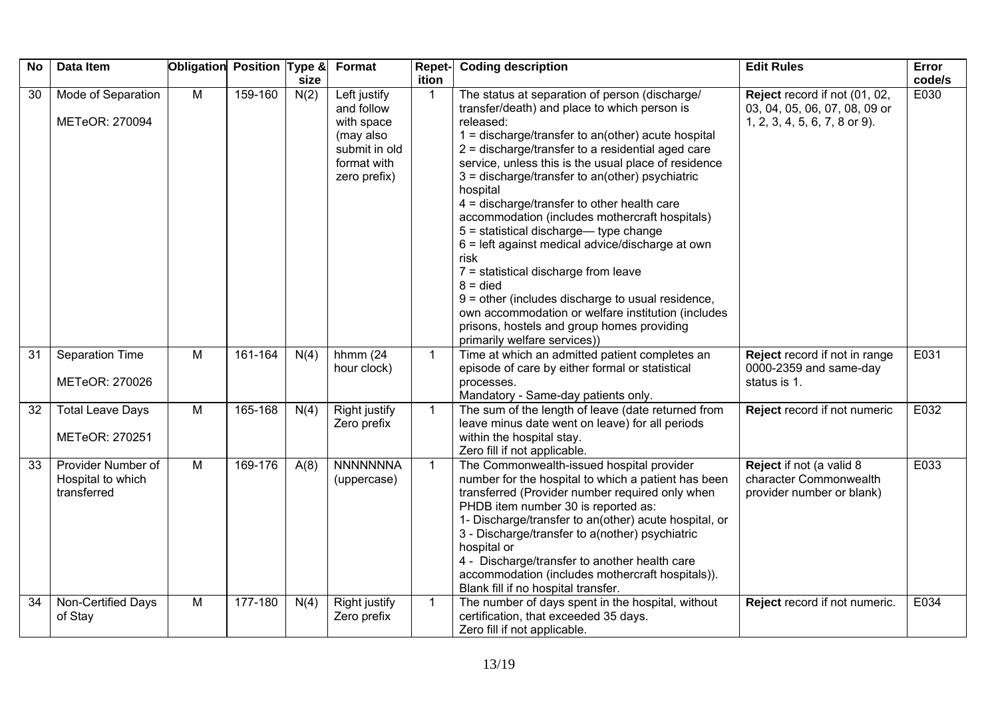| <b>No</b> | Data Item                                              | Obligation     | Position Type & |      | Format                                                                                                | Repet-       | <b>Coding description</b>                                                                                                                                                                                                                                                                                                                                                                                                                                                                                                                                                                                                                                                                                                                                                                               | <b>Edit Rules</b>                                                                               | Error  |
|-----------|--------------------------------------------------------|----------------|-----------------|------|-------------------------------------------------------------------------------------------------------|--------------|---------------------------------------------------------------------------------------------------------------------------------------------------------------------------------------------------------------------------------------------------------------------------------------------------------------------------------------------------------------------------------------------------------------------------------------------------------------------------------------------------------------------------------------------------------------------------------------------------------------------------------------------------------------------------------------------------------------------------------------------------------------------------------------------------------|-------------------------------------------------------------------------------------------------|--------|
|           |                                                        |                |                 | size |                                                                                                       | ition        |                                                                                                                                                                                                                                                                                                                                                                                                                                                                                                                                                                                                                                                                                                                                                                                                         |                                                                                                 | code/s |
| 30        | Mode of Separation<br>METeOR: 270094                   | $\overline{M}$ | 159-160         | N(2) | Left justify<br>and follow<br>with space<br>(may also<br>submit in old<br>format with<br>zero prefix) | $\mathbf 1$  | The status at separation of person (discharge/<br>transfer/death) and place to which person is<br>released:<br>$1 =$ discharge/transfer to an(other) acute hospital<br>2 = discharge/transfer to a residential aged care<br>service, unless this is the usual place of residence<br>3 = discharge/transfer to an(other) psychiatric<br>hospital<br>4 = discharge/transfer to other health care<br>accommodation (includes mothercraft hospitals)<br>5 = statistical discharge— type change<br>6 = left against medical advice/discharge at own<br>risk<br>7 = statistical discharge from leave<br>$8 =$ died<br>$9$ = other (includes discharge to usual residence,<br>own accommodation or welfare institution (includes<br>prisons, hostels and group homes providing<br>primarily welfare services)) | Reject record if not (01, 02,<br>03, 04, 05, 06, 07, 08, 09 or<br>1, 2, 3, 4, 5, 6, 7, 8 or 9). | E030   |
| 31        | Separation Time<br>METeOR: 270026                      | M              | 161-164         | N(4) | hhmm $(24)$<br>hour clock)                                                                            | $\mathbf{1}$ | Time at which an admitted patient completes an<br>episode of care by either formal or statistical<br>processes.<br>Mandatory - Same-day patients only.                                                                                                                                                                                                                                                                                                                                                                                                                                                                                                                                                                                                                                                  | Reject record if not in range<br>0000-2359 and same-day<br>status is 1.                         | E031   |
| 32        | <b>Total Leave Days</b><br>METeOR: 270251              | M              | 165-168         | N(4) | Right justify<br>Zero prefix                                                                          | $\mathbf{1}$ | The sum of the length of leave (date returned from<br>leave minus date went on leave) for all periods<br>within the hospital stay.<br>Zero fill if not applicable.                                                                                                                                                                                                                                                                                                                                                                                                                                                                                                                                                                                                                                      | Reject record if not numeric                                                                    | E032   |
| 33        | Provider Number of<br>Hospital to which<br>transferred | $\overline{M}$ | 169-176         | A(8) | <b>NNNNNNNA</b><br>(uppercase)                                                                        | $\mathbf{1}$ | The Commonwealth-issued hospital provider<br>number for the hospital to which a patient has been<br>transferred (Provider number required only when<br>PHDB item number 30 is reported as:<br>1- Discharge/transfer to an(other) acute hospital, or<br>3 - Discharge/transfer to a(nother) psychiatric<br>hospital or<br>4 - Discharge/transfer to another health care<br>accommodation (includes mothercraft hospitals)).<br>Blank fill if no hospital transfer.                                                                                                                                                                                                                                                                                                                                       | Reject if not (a valid 8<br>character Commonwealth<br>provider number or blank)                 | E033   |
| 34        | Non-Certified Days<br>of Stay                          | M              | 177-180         | N(4) | Right justify<br>Zero prefix                                                                          | $\mathbf{1}$ | The number of days spent in the hospital, without<br>certification, that exceeded 35 days.<br>Zero fill if not applicable.                                                                                                                                                                                                                                                                                                                                                                                                                                                                                                                                                                                                                                                                              | Reject record if not numeric.                                                                   | E034   |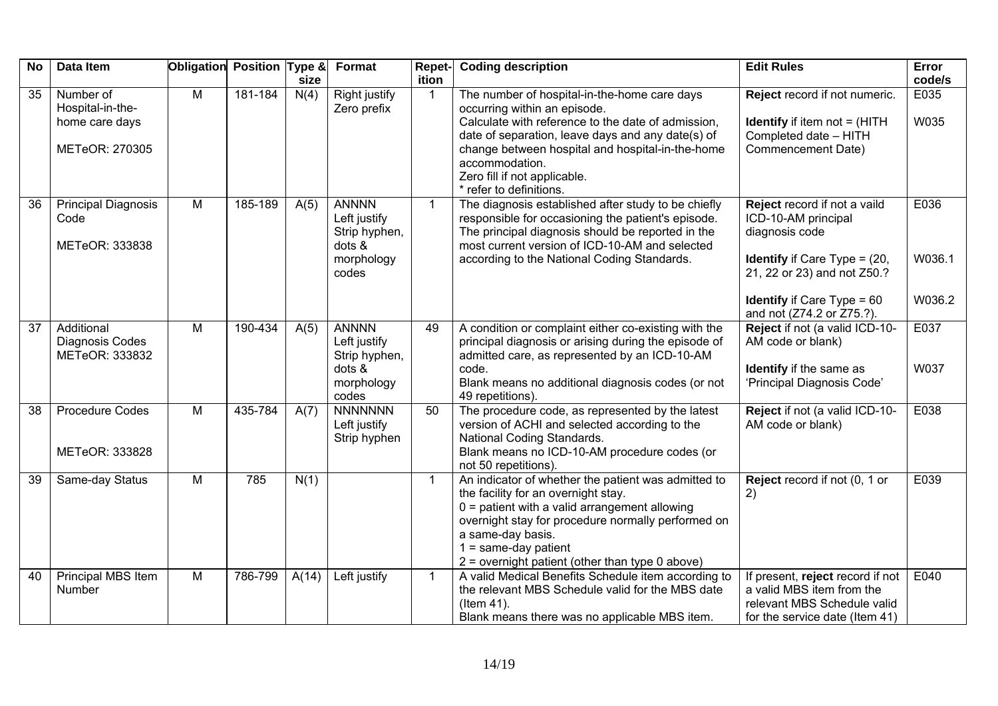| <b>No</b> | Data Item                                                         | Obligation Position Type & |         | size  | Format                                                                         | Repet-<br>ition | <b>Coding description</b>                                                                                                                                                                                                                                                                                                | <b>Edit Rules</b>                                                                                                                                                                                                     | Error<br>code/s          |
|-----------|-------------------------------------------------------------------|----------------------------|---------|-------|--------------------------------------------------------------------------------|-----------------|--------------------------------------------------------------------------------------------------------------------------------------------------------------------------------------------------------------------------------------------------------------------------------------------------------------------------|-----------------------------------------------------------------------------------------------------------------------------------------------------------------------------------------------------------------------|--------------------------|
| 35        | Number of<br>Hospital-in-the-<br>home care days<br>METeOR: 270305 | $\overline{M}$             | 181-184 | N(4)  | <b>Right justify</b><br>Zero prefix                                            | $\overline{1}$  | The number of hospital-in-the-home care days<br>occurring within an episode.<br>Calculate with reference to the date of admission,<br>date of separation, leave days and any date(s) of<br>change between hospital and hospital-in-the-home<br>accommodation.<br>Zero fill if not applicable.<br>* refer to definitions. | Reject record if not numeric.<br><b>Identify</b> if item not $=$ (HITH<br>Completed date - HITH<br>Commencement Date)                                                                                                 | E035<br>W035             |
| 36        | <b>Principal Diagnosis</b><br>Code<br>METeOR: 333838              | $\overline{M}$             | 185-189 | A(5)  | <b>ANNNN</b><br>Left justify<br>Strip hyphen,<br>dots &<br>morphology<br>codes | $\mathbf{1}$    | The diagnosis established after study to be chiefly<br>responsible for occasioning the patient's episode.<br>The principal diagnosis should be reported in the<br>most current version of ICD-10-AM and selected<br>according to the National Coding Standards.                                                          | Reject record if not a vaild<br>ICD-10-AM principal<br>diagnosis code<br><b>Identify</b> if Care Type = $(20, 10)$<br>21, 22 or 23) and not Z50.?<br><b>Identify</b> if Care Type = $60$<br>and not (Z74.2 or Z75.?). | E036<br>W036.1<br>W036.2 |
| 37        | Additional<br>Diagnosis Codes<br>METeOR: 333832                   | M                          | 190-434 | A(5)  | <b>ANNNN</b><br>Left justify<br>Strip hyphen,<br>dots &<br>morphology<br>codes | 49              | A condition or complaint either co-existing with the<br>principal diagnosis or arising during the episode of<br>admitted care, as represented by an ICD-10-AM<br>code.<br>Blank means no additional diagnosis codes (or not<br>49 repetitions).                                                                          | Reject if not (a valid ICD-10-<br>AM code or blank)<br>Identify if the same as<br>'Principal Diagnosis Code'                                                                                                          | E037<br>W037             |
| 38        | <b>Procedure Codes</b><br>METeOR: 333828                          | $\overline{M}$             | 435-784 | A(7)  | <b>NNNNNNN</b><br>Left justify<br>Strip hyphen                                 | 50              | The procedure code, as represented by the latest<br>version of ACHI and selected according to the<br>National Coding Standards.<br>Blank means no ICD-10-AM procedure codes (or<br>not 50 repetitions).                                                                                                                  | Reject if not (a valid ICD-10-<br>AM code or blank)                                                                                                                                                                   | E038                     |
| 39        | Same-day Status                                                   | $\overline{M}$             | 785     | N(1)  |                                                                                | $\overline{1}$  | An indicator of whether the patient was admitted to<br>the facility for an overnight stay.<br>$0 =$ patient with a valid arrangement allowing<br>overnight stay for procedure normally performed on<br>a same-day basis.<br>$1 = same-day patient$<br>$2$ = overnight patient (other than type 0 above)                  | Reject record if not (0, 1 or<br>2)                                                                                                                                                                                   | E039                     |
| 40        | Principal MBS Item<br>Number                                      | $\overline{M}$             | 786-799 | A(14) | Left justify                                                                   | $\overline{1}$  | A valid Medical Benefits Schedule item according to<br>the relevant MBS Schedule valid for the MBS date<br>(Item 41).<br>Blank means there was no applicable MBS item.                                                                                                                                                   | If present, reject record if not<br>a valid MBS item from the<br>relevant MBS Schedule valid<br>for the service date (Item 41)                                                                                        | E040                     |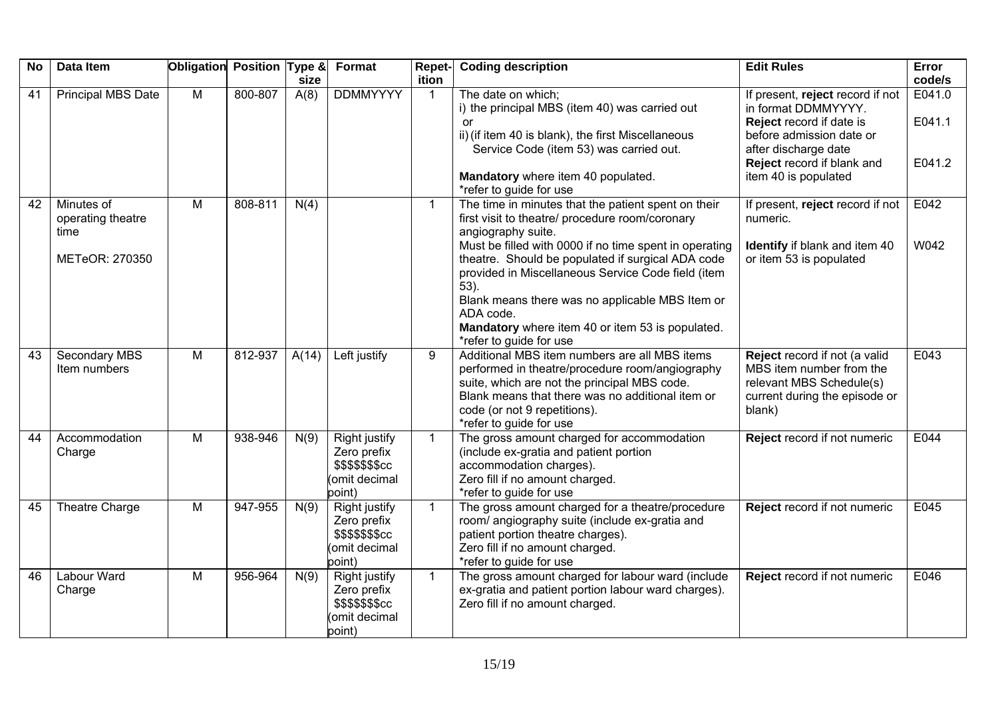| <b>No</b> | Data Item                               | Obligation Position Type & |         | size  | Format                                                                            | <b>Repet-</b><br>ition | <b>Coding description</b>                                                                                                                                                                                                                                                                                                   | <b>Edit Rules</b>                                                                                                                                                                             | Error<br>code/s            |
|-----------|-----------------------------------------|----------------------------|---------|-------|-----------------------------------------------------------------------------------|------------------------|-----------------------------------------------------------------------------------------------------------------------------------------------------------------------------------------------------------------------------------------------------------------------------------------------------------------------------|-----------------------------------------------------------------------------------------------------------------------------------------------------------------------------------------------|----------------------------|
| 41        | Principal MBS Date                      | $\overline{M}$             | 800-807 | A(8)  | <b>DDMMYYYY</b>                                                                   | $\mathbf{1}$           | The date on which;<br>i) the principal MBS (item 40) was carried out<br>or<br>ii) (if item 40 is blank), the first Miscellaneous<br>Service Code (item 53) was carried out.<br>Mandatory where item 40 populated.<br>*refer to guide for use                                                                                | If present, reject record if not<br>in format DDMMYYYY.<br>Reject record if date is<br>before admission date or<br>after discharge date<br>Reject record if blank and<br>item 40 is populated | E041.0<br>E041.1<br>E041.2 |
| 42        | Minutes of<br>operating theatre<br>time | M                          | 808-811 | N(4)  |                                                                                   | $\mathbf{1}$           | The time in minutes that the patient spent on their<br>first visit to theatre/ procedure room/coronary<br>angiography suite.                                                                                                                                                                                                | If present, reject record if not<br>numeric.                                                                                                                                                  | E042                       |
|           | METeOR: 270350                          |                            |         |       |                                                                                   |                        | Must be filled with 0000 if no time spent in operating<br>theatre. Should be populated if surgical ADA code<br>provided in Miscellaneous Service Code field (item<br>$53$ ).<br>Blank means there was no applicable MBS Item or<br>ADA code.<br>Mandatory where item 40 or item 53 is populated.<br>*refer to guide for use | Identify if blank and item 40<br>or item 53 is populated                                                                                                                                      | W042                       |
| 43        | <b>Secondary MBS</b><br>Item numbers    | $\overline{M}$             | 812-937 | A(14) | Left justify                                                                      | 9                      | Additional MBS item numbers are all MBS items<br>performed in theatre/procedure room/angiography<br>suite, which are not the principal MBS code.<br>Blank means that there was no additional item or<br>code (or not 9 repetitions).<br>*refer to guide for use                                                             | Reject record if not (a valid<br>MBS item number from the<br>relevant MBS Schedule(s)<br>current during the episode or<br>blank)                                                              | E043                       |
| 44        | Accommodation<br>Charge                 | $\overline{M}$             | 938-946 | N(9)  | <b>Right justify</b><br>Zero prefix<br>\$\$\$\$\$\$\$cc<br>omit decimal<br>point) | $\mathbf{1}$           | The gross amount charged for accommodation<br>(include ex-gratia and patient portion<br>accommodation charges).<br>Zero fill if no amount charged.<br>*refer to guide for use                                                                                                                                               | Reject record if not numeric                                                                                                                                                                  | E044                       |
| 45        | Theatre Charge                          | M                          | 947-955 | N(9)  | Right justify<br>Zero prefix<br>\$\$\$\$\$\$\$cc<br>omit decimal<br>point)        | $\mathbf{1}$           | The gross amount charged for a theatre/procedure<br>room/ angiography suite (include ex-gratia and<br>patient portion theatre charges).<br>Zero fill if no amount charged.<br>*refer to guide for use                                                                                                                       | Reject record if not numeric                                                                                                                                                                  | E045                       |
| 46        | Labour Ward<br>Charge                   | M                          | 956-964 | N(9)  | Right justify<br>Zero prefix<br>\$\$\$\$\$\$\$cc<br>omit decimal<br>point)        | $\mathbf{1}$           | The gross amount charged for labour ward (include<br>ex-gratia and patient portion labour ward charges).<br>Zero fill if no amount charged.                                                                                                                                                                                 | Reject record if not numeric                                                                                                                                                                  | E046                       |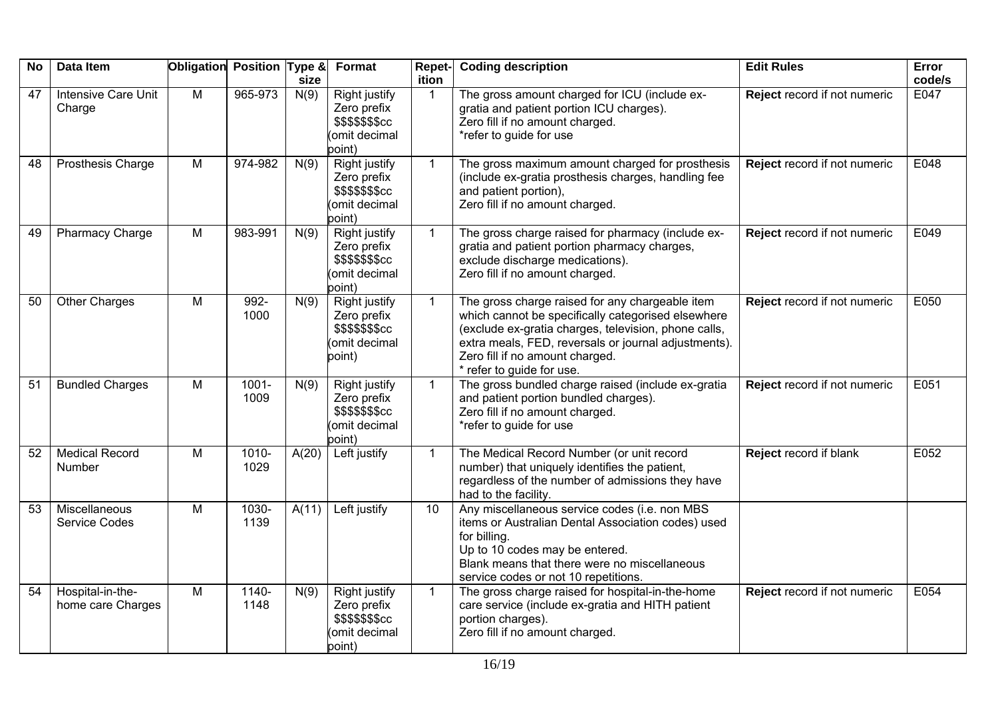| <b>No</b> | Data Item                             | Obligation Position Type & |               |              | Format                                                                            | Repet-                | <b>Coding description</b>                                                                                                                                                                                                                                                             | <b>Edit Rules</b>            | Error          |
|-----------|---------------------------------------|----------------------------|---------------|--------------|-----------------------------------------------------------------------------------|-----------------------|---------------------------------------------------------------------------------------------------------------------------------------------------------------------------------------------------------------------------------------------------------------------------------------|------------------------------|----------------|
| 47        | <b>Intensive Care Unit</b><br>Charge  | $\overline{M}$             | 965-973       | size<br>N(9) | <b>Right justify</b><br>Zero prefix<br>\$\$\$\$\$\$\$cc<br>omit decimal<br>point) | ition<br>$\mathbf{1}$ | The gross amount charged for ICU (include ex-<br>gratia and patient portion ICU charges).<br>Zero fill if no amount charged.<br>*refer to guide for use                                                                                                                               | Reject record if not numeric | code/s<br>E047 |
| 48        | Prosthesis Charge                     | M                          | 974-982       | N(9)         | Right justify<br>Zero prefix<br>\$\$\$\$\$\$\$cc<br>omit decimal<br>point)        | $\mathbf{1}$          | The gross maximum amount charged for prosthesis<br>(include ex-gratia prosthesis charges, handling fee<br>and patient portion),<br>Zero fill if no amount charged.                                                                                                                    | Reject record if not numeric | E048           |
| 49        | Pharmacy Charge                       | M                          | 983-991       | N(9)         | <b>Right justify</b><br>Zero prefix<br>\$\$\$\$\$\$\$cc<br>omit decimal<br>point) | $\mathbf{1}$          | The gross charge raised for pharmacy (include ex-<br>gratia and patient portion pharmacy charges,<br>exclude discharge medications).<br>Zero fill if no amount charged.                                                                                                               | Reject record if not numeric | E049           |
| 50        | <b>Other Charges</b>                  | M                          | 992-<br>1000  | N(9)         | <b>Right justify</b><br>Zero prefix<br>\$\$\$\$\$\$\$cc<br>omit decimal<br>point) | $\mathbf{1}$          | The gross charge raised for any chargeable item<br>which cannot be specifically categorised elsewhere<br>(exclude ex-gratia charges, television, phone calls,<br>extra meals, FED, reversals or journal adjustments).<br>Zero fill if no amount charged.<br>* refer to guide for use. | Reject record if not numeric | E050           |
| 51        | <b>Bundled Charges</b>                | M                          | 1001-<br>1009 | N(9)         | <b>Right justify</b><br>Zero prefix<br>\$\$\$\$\$\$\$cc<br>omit decimal<br>point) | $\mathbf{1}$          | The gross bundled charge raised (include ex-gratia<br>and patient portion bundled charges).<br>Zero fill if no amount charged.<br>*refer to guide for use                                                                                                                             | Reject record if not numeric | E051           |
| 52        | <b>Medical Record</b><br>Number       | M                          | 1010-<br>1029 | A(20)        | Left justify                                                                      | $\mathbf{1}$          | The Medical Record Number (or unit record<br>number) that uniquely identifies the patient,<br>regardless of the number of admissions they have<br>had to the facility.                                                                                                                | Reject record if blank       | E052           |
| 53        | Miscellaneous<br><b>Service Codes</b> | M                          | 1030-<br>1139 | A(11)        | Left justify                                                                      | 10                    | Any miscellaneous service codes (i.e. non MBS<br>items or Australian Dental Association codes) used<br>for billing.<br>Up to 10 codes may be entered.<br>Blank means that there were no miscellaneous<br>service codes or not 10 repetitions.                                         |                              |                |
| 54        | Hospital-in-the-<br>home care Charges | M                          | 1140-<br>1148 | N(9)         | <b>Right justify</b><br>Zero prefix<br>\$\$\$\$\$\$\$cc<br>omit decimal<br>point) | $\mathbf{1}$          | The gross charge raised for hospital-in-the-home<br>care service (include ex-gratia and HITH patient<br>portion charges).<br>Zero fill if no amount charged.                                                                                                                          | Reject record if not numeric | E054           |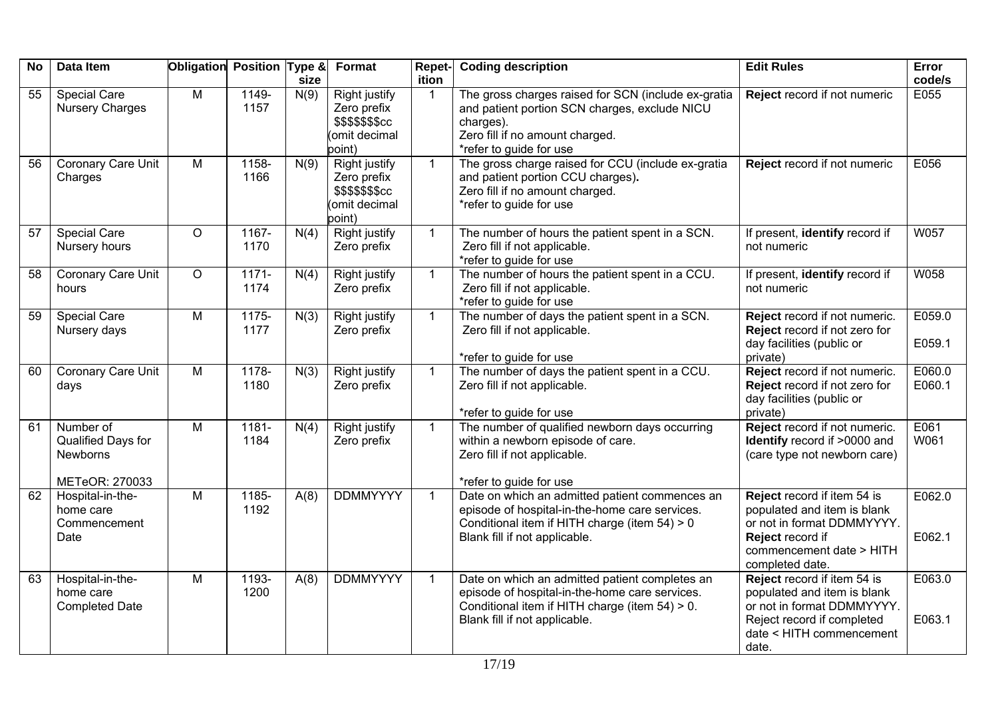| <b>No</b> | Data Item                                                     | Obligation Position Type & |                  | size | Format                                                                             | Repet-<br>ition | <b>Coding description</b>                                                                                                                                                           | <b>Edit Rules</b>                                                                                                                                           | Error<br>code/s  |
|-----------|---------------------------------------------------------------|----------------------------|------------------|------|------------------------------------------------------------------------------------|-----------------|-------------------------------------------------------------------------------------------------------------------------------------------------------------------------------------|-------------------------------------------------------------------------------------------------------------------------------------------------------------|------------------|
| 55        | <b>Special Care</b><br><b>Nursery Charges</b>                 | M                          | 1149-<br>1157    | N(9) | <b>Right justify</b><br>Zero prefix<br>\$\$\$\$\$\$\$cc<br>(omit decimal<br>point) |                 | The gross charges raised for SCN (include ex-gratia<br>and patient portion SCN charges, exclude NICU<br>charges).<br>Zero fill if no amount charged.<br>*refer to guide for use     | Reject record if not numeric                                                                                                                                | E055             |
| 56        | <b>Coronary Care Unit</b><br>Charges                          | $\overline{M}$             | 1158-<br>1166    | N(9) | Right justify<br>Zero prefix<br>\$\$\$\$\$\$\$cc<br>(omit decimal<br>point)        | $\mathbf{1}$    | The gross charge raised for CCU (include ex-gratia<br>and patient portion CCU charges).<br>Zero fill if no amount charged.<br>*refer to guide for use                               | Reject record if not numeric                                                                                                                                | E056             |
| 57        | <b>Special Care</b><br>Nursery hours                          | $\circ$                    | 1167-<br>1170    | N(4) | <b>Right justify</b><br>Zero prefix                                                | $\mathbf{1}$    | The number of hours the patient spent in a SCN.<br>Zero fill if not applicable.<br>*refer to guide for use                                                                          | If present, identify record if<br>not numeric                                                                                                               | W057             |
| 58        | Coronary Care Unit<br>hours                                   | $\circ$                    | $1171 -$<br>1174 | N(4) | Right justify<br>Zero prefix                                                       | $\mathbf{1}$    | The number of hours the patient spent in a CCU.<br>Zero fill if not applicable.<br>*refer to guide for use                                                                          | If present, identify record if<br>not numeric                                                                                                               | W058             |
| 59        | <b>Special Care</b><br>Nursery days                           | M                          | $1175 -$<br>1177 | N(3) | <b>Right justify</b><br>Zero prefix                                                | $\mathbf{1}$    | The number of days the patient spent in a SCN.<br>Zero fill if not applicable.<br>*refer to guide for use                                                                           | Reject record if not numeric.<br>Reject record if not zero for<br>day facilities (public or<br>private)                                                     | E059.0<br>E059.1 |
| 60        | Coronary Care Unit<br>days                                    | M                          | 1178-<br>1180    | N(3) | Right justify<br>Zero prefix                                                       | $\mathbf{1}$    | The number of days the patient spent in a CCU.<br>Zero fill if not applicable.<br>*refer to guide for use                                                                           | Reject record if not numeric.<br>Reject record if not zero for<br>day facilities (public or<br>private)                                                     | E060.0<br>E060.1 |
| 61        | Number of<br>Qualified Days for<br>Newborns<br>METeOR: 270033 | M                          | 1181-<br>1184    | N(4) | <b>Right justify</b><br>Zero prefix                                                | $\mathbf{1}$    | The number of qualified newborn days occurring<br>within a newborn episode of care.<br>Zero fill if not applicable.<br>*refer to guide for use                                      | Reject record if not numeric.<br>Identify record if >0000 and<br>(care type not newborn care)                                                               | E061<br>W061     |
| 62        | Hospital-in-the-<br>home care<br>Commencement<br>Date         | M                          | $1185 -$<br>1192 | A(8) | <b>DDMMYYYY</b>                                                                    | $\mathbf{1}$    | Date on which an admitted patient commences an<br>episode of hospital-in-the-home care services.<br>Conditional item if HITH charge (item 54) > 0<br>Blank fill if not applicable.  | Reject record if item 54 is<br>populated and item is blank<br>or not in format DDMMYYYY.<br>Reject record if<br>commencement date > HITH<br>completed date. | E062.0<br>E062.1 |
| 63        | Hospital-in-the-<br>home care<br><b>Completed Date</b>        | M                          | 1193-<br>1200    | A(8) | <b>DDMMYYYY</b>                                                                    | $\mathbf{1}$    | Date on which an admitted patient completes an<br>episode of hospital-in-the-home care services.<br>Conditional item if HITH charge (item 54) > 0.<br>Blank fill if not applicable. | Reject record if item 54 is<br>populated and item is blank<br>or not in format DDMMYYYY.<br>Reject record if completed<br>date < HITH commencement<br>date. | E063.0<br>E063.1 |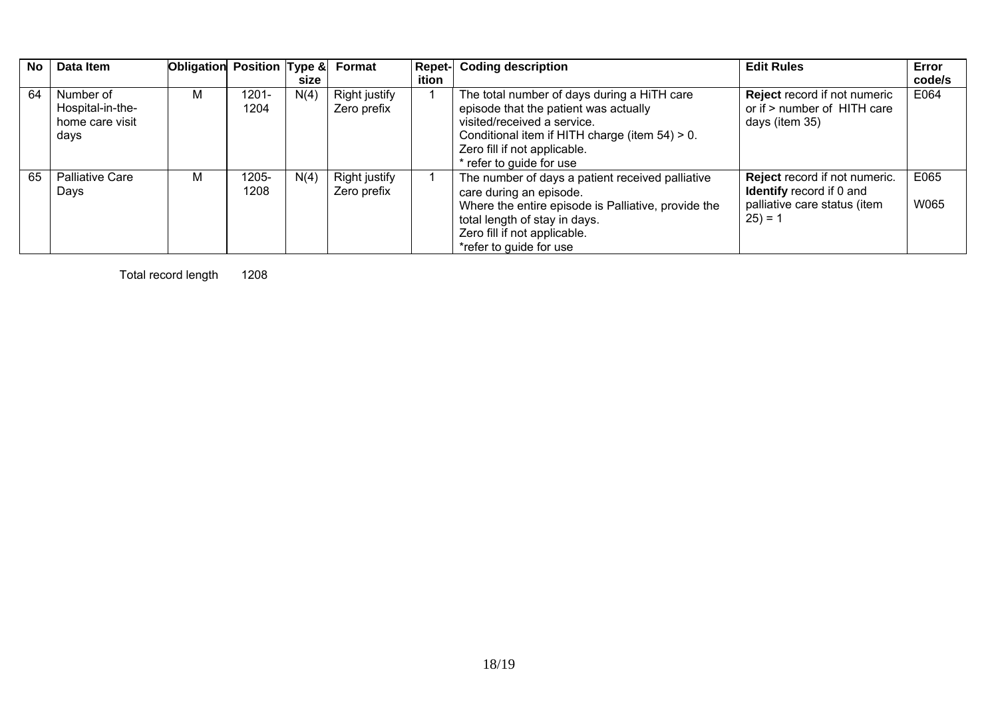| No | Data Item                                                | Obligation Position Type & |               | size | <b>Format</b>                       | <b>Repet-</b><br>ition | <b>Coding description</b>                                                                                                                                                                                                            | <b>Edit Rules</b>                                                                                             | Error<br>code/s |
|----|----------------------------------------------------------|----------------------------|---------------|------|-------------------------------------|------------------------|--------------------------------------------------------------------------------------------------------------------------------------------------------------------------------------------------------------------------------------|---------------------------------------------------------------------------------------------------------------|-----------------|
| 64 | Number of<br>Hospital-in-the-<br>home care visit<br>days | М                          | 1201-<br>1204 | N(4) | <b>Right justify</b><br>Zero prefix |                        | The total number of days during a HiTH care<br>episode that the patient was actually<br>visited/received a service.<br>Conditional item if HITH charge (item $54$ ) > 0.<br>Zero fill if not applicable.<br>* refer to guide for use | <b>Reject record if not numeric</b><br>or if > number of HITH care<br>days (item 35)                          | E064            |
| 65 | <b>Palliative Care</b><br>Days                           | м                          | 1205-<br>1208 | N(4) | <b>Right justify</b><br>Zero prefix |                        | The number of days a patient received palliative<br>care during an episode.<br>Where the entire episode is Palliative, provide the<br>total length of stay in days.<br>Zero fill if not applicable.<br>*refer to guide for use       | Reject record if not numeric.<br><b>Identify</b> record if 0 and<br>palliative care status (item<br>$25) = 1$ | E065<br>W065    |

Total record length 1208